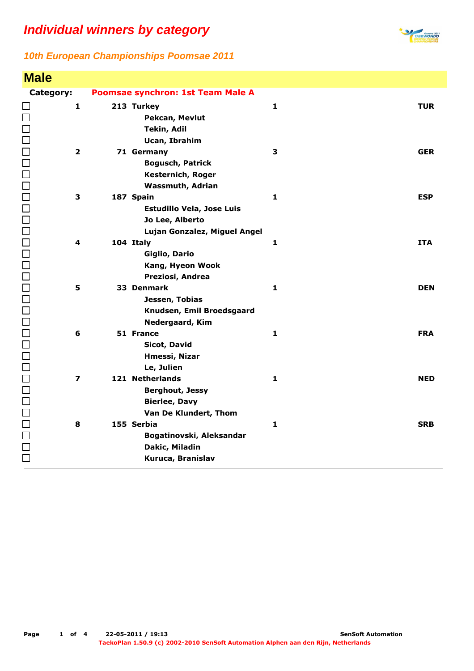**Male**



| <b>Male</b>             |                                           |              |            |
|-------------------------|-------------------------------------------|--------------|------------|
| Category:               | Poomsae synchron: 1st Team Male A         |              |            |
| $\mathbf{1}$            | 213 Turkey                                | $\mathbf{1}$ | <b>TUR</b> |
|                         | Pekcan, Mevlut                            |              |            |
|                         | <b>Tekin, Adil</b>                        |              |            |
|                         | <b>Ucan, Ibrahim</b>                      |              |            |
| $\overline{\mathbf{2}}$ | 71 Germany                                | 3            | <b>GER</b> |
|                         | <b>Bogusch, Patrick</b>                   |              |            |
|                         | Kesternich, Roger                         |              |            |
|                         | <b>Wassmuth, Adrian</b>                   |              |            |
| 3                       | 187 Spain                                 | 1            | <b>ESP</b> |
|                         | <b>Estudillo Vela, Jose Luis</b>          |              |            |
|                         | Jo Lee, Alberto                           |              |            |
| 4                       | Lujan Gonzalez, Miguel Angel<br>104 Italy | $\mathbf{1}$ | <b>ITA</b> |
|                         | Giglio, Dario                             |              |            |
|                         | Kang, Hyeon Wook                          |              |            |
|                         | Preziosi, Andrea                          |              |            |
| 5                       | 33 Denmark                                | $\mathbf{1}$ | <b>DEN</b> |
|                         | Jessen, Tobias                            |              |            |
|                         | Knudsen, Emil Broedsgaard                 |              |            |
|                         | Nedergaard, Kim                           |              |            |
| 6                       | 51 France                                 | $\mathbf{1}$ | <b>FRA</b> |
|                         | Sicot, David                              |              |            |
|                         | Hmessi, Nizar                             |              |            |
|                         | Le, Julien                                |              |            |
| $\overline{\mathbf{z}}$ | 121 Netherlands                           | $\mathbf{1}$ | <b>NED</b> |
|                         | <b>Berghout, Jessy</b>                    |              |            |
|                         | <b>Bierlee, Davy</b>                      |              |            |
|                         | Van De Klundert, Thom                     |              |            |
| 8                       | 155 Serbia                                | $\mathbf{1}$ | <b>SRB</b> |
| 10001<br>10001          | Bogatinovski, Aleksandar                  |              |            |
|                         | Dakic, Miladin                            |              |            |
|                         | Kuruca, Branislav                         |              |            |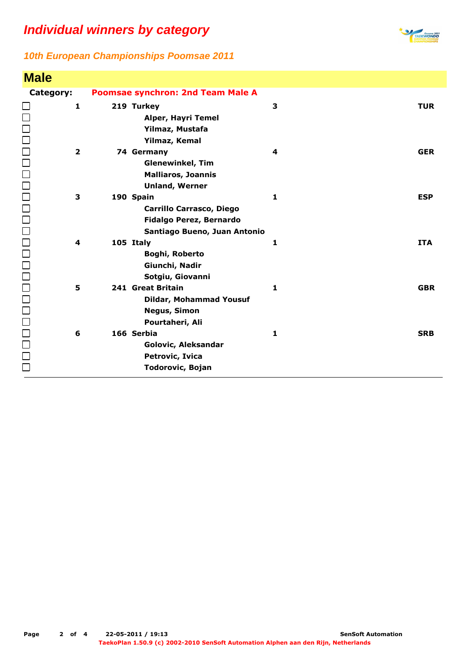

| <b>Male</b>             |                                                                                                         |              |            |
|-------------------------|---------------------------------------------------------------------------------------------------------|--------------|------------|
| Category:               | <b>Poomsae synchron: 2nd Team Male A</b>                                                                |              |            |
| $\mathbf{1}$            | 219 Turkey<br>Alper, Hayri Temel<br>Yilmaz, Mustafa<br>Yilmaz, Kemal                                    | 3            | <b>TUR</b> |
| $\overline{\mathbf{2}}$ | 74 Germany<br><b>Glenewinkel, Tim</b><br><b>Malliaros, Joannis</b><br><b>Unland, Werner</b>             | 4            | <b>GER</b> |
| 3                       | 190 Spain<br><b>Carrillo Carrasco, Diego</b><br>Fidalgo Perez, Bernardo<br>Santiago Bueno, Juan Antonio | 1            | <b>ESP</b> |
| 4                       | 105 Italy<br>Boghi, Roberto<br>Giunchi, Nadir<br>Sotgiu, Giovanni                                       | 1            | <b>ITA</b> |
| 5                       | 241 Great Britain<br><b>Dildar, Mohammad Yousuf</b><br><b>Negus, Simon</b><br>Pourtaheri, Ali           | $\mathbf{1}$ | <b>GBR</b> |
| 6                       | 166 Serbia<br>Golovic, Aleksandar<br>Petrovic, Ivica<br><b>Todorovic, Bojan</b>                         | 1            | <b>SRB</b> |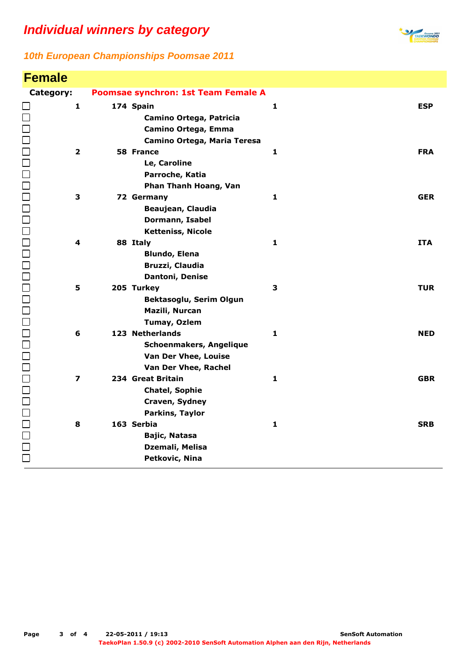

| <b>Female</b>                         |                                                                                            |              |            |
|---------------------------------------|--------------------------------------------------------------------------------------------|--------------|------------|
| Category:                             | Poomsae synchron: 1st Team Female A                                                        |              |            |
| $\mathbf{1}$                          | 174 Spain<br>Camino Ortega, Patricia<br>Camino Ortega, Emma<br>Camino Ortega, Maria Teresa | $\mathbf{1}$ | <b>ESP</b> |
| $\overline{\mathbf{2}}$               | 58 France<br>Le, Caroline<br>Parroche, Katia<br>Phan Thanh Hoang, Van                      | $\mathbf{1}$ | <b>FRA</b> |
| 00000000000000000000000000000000<br>3 | 72 Germany<br>Beaujean, Claudia<br>Dormann, Isabel<br><b>Ketteniss, Nicole</b>             | 1            | <b>GER</b> |
| 4                                     | 88 Italy<br><b>Blundo, Elena</b><br>Bruzzi, Claudia<br>Dantoni, Denise                     | 1            | <b>ITA</b> |
| 5                                     | 205 Turkey<br>Bektasoglu, Serim Olgun<br>Mazili, Nurcan<br><b>Tumay, Ozlem</b>             | 3            | <b>TUR</b> |
| 6                                     | 123 Netherlands<br>Schoenmakers, Angelique<br>Van Der Vhee, Louise<br>Van Der Vhee, Rachel | $\mathbf{1}$ | <b>NED</b> |
| $\overline{\mathbf{z}}$               | 234 Great Britain<br><b>Chatel, Sophie</b><br>Craven, Sydney<br>Parkins, Taylor            | $\mathbf{1}$ | <b>GBR</b> |
| 8                                     | 163 Serbia<br>Bajic, Natasa<br>Dzemali, Melisa<br>Petkovic, Nina                           | $\mathbf{1}$ | <b>SRB</b> |